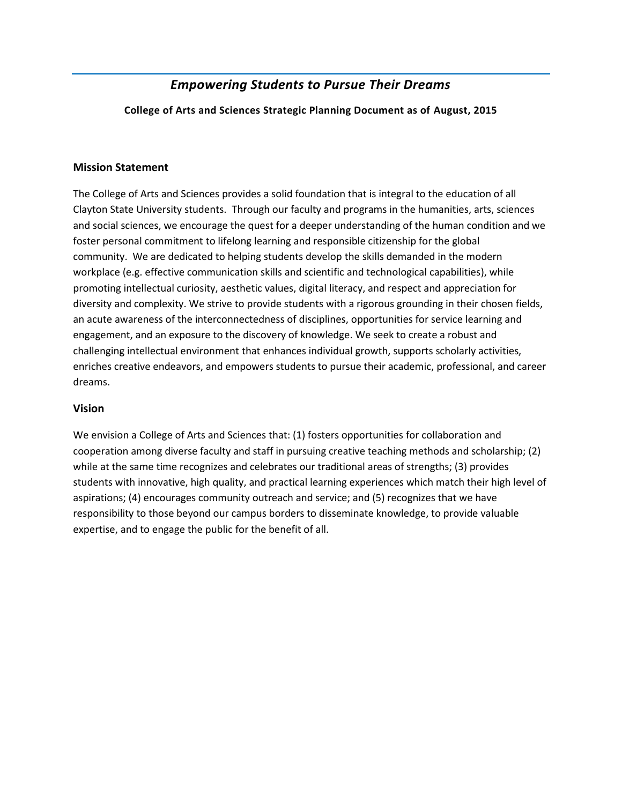# *Empowering Students to Pursue Their Dreams*

**College of Arts and Sciences Strategic Planning Document as of August, 2015**

#### **Mission Statement**

The College of Arts and Sciences provides a solid foundation that is integral to the education of all Clayton State University students. Through our faculty and programs in the humanities, arts, sciences and social sciences, we encourage the quest for a deeper understanding of the human condition and we foster personal commitment to lifelong learning and responsible citizenship for the global community. We are dedicated to helping students develop the skills demanded in the modern workplace (e.g. effective communication skills and scientific and technological capabilities), while promoting intellectual curiosity, aesthetic values, digital literacy, and respect and appreciation for diversity and complexity. We strive to provide students with a rigorous grounding in their chosen fields, an acute awareness of the interconnectedness of disciplines, opportunities for service learning and engagement, and an exposure to the discovery of knowledge. We seek to create a robust and challenging intellectual environment that enhances individual growth, supports scholarly activities, enriches creative endeavors, and empowers students to pursue their academic, professional, and career dreams.

#### **Vision**

We envision a College of Arts and Sciences that: (1) fosters opportunities for collaboration and cooperation among diverse faculty and staff in pursuing creative teaching methods and scholarship; (2) while at the same time recognizes and celebrates our traditional areas of strengths; (3) provides students with innovative, high quality, and practical learning experiences which match their high level of aspirations; (4) encourages community outreach and service; and (5) recognizes that we have responsibility to those beyond our campus borders to disseminate knowledge, to provide valuable expertise, and to engage the public for the benefit of all.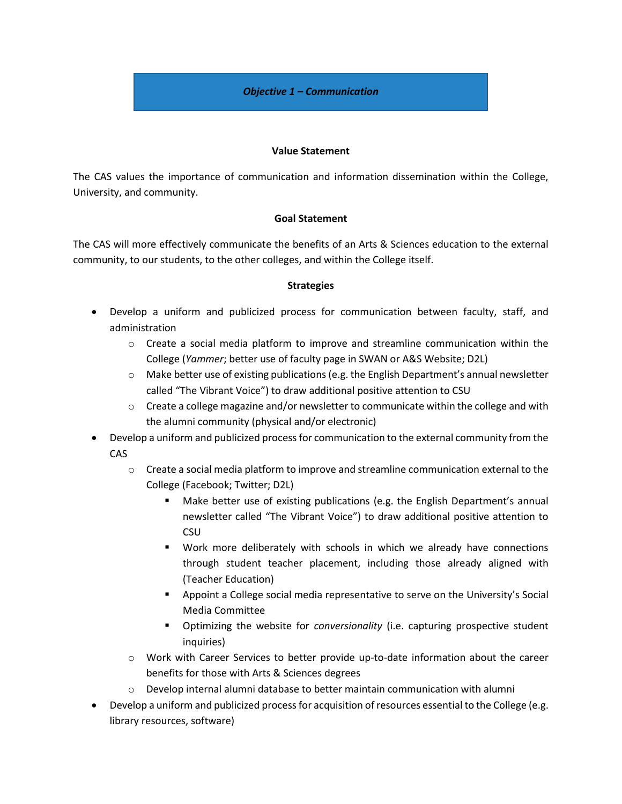#### *Objective 1 – Communication*

#### **Value Statement**

The CAS values the importance of communication and information dissemination within the College, University, and community.

#### **Goal Statement**

The CAS will more effectively communicate the benefits of an Arts & Sciences education to the external community, to our students, to the other colleges, and within the College itself.

- Develop a uniform and publicized process for communication between faculty, staff, and administration
	- $\circ$  Create a social media platform to improve and streamline communication within the College (*Yammer*; better use of faculty page in SWAN or A&S Website; D2L)
	- $\circ$  Make better use of existing publications (e.g. the English Department's annual newsletter called "The Vibrant Voice") to draw additional positive attention to CSU
	- $\circ$  Create a college magazine and/or newsletter to communicate within the college and with the alumni community (physical and/or electronic)
- Develop a uniform and publicized process for communication to the external community from the CAS
	- o Create a social media platform to improve and streamline communication external to the College (Facebook; Twitter; D2L)
		- Make better use of existing publications (e.g. the English Department's annual newsletter called "The Vibrant Voice") to draw additional positive attention to CSU
		- Work more deliberately with schools in which we already have connections through student teacher placement, including those already aligned with (Teacher Education)
		- Appoint a College social media representative to serve on the University's Social Media Committee
		- Optimizing the website for *conversionality* (i.e. capturing prospective student inquiries)
	- o Work with Career Services to better provide up-to-date information about the career benefits for those with Arts & Sciences degrees
	- $\circ$  Develop internal alumni database to better maintain communication with alumni
- Develop a uniform and publicized process for acquisition of resources essential to the College (e.g. library resources, software)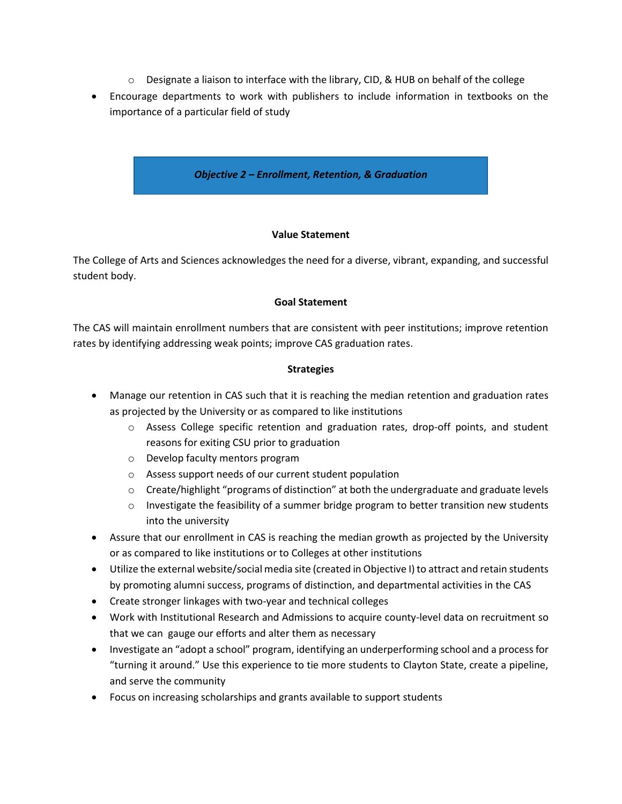- $\circ$  Designate a liaison to interface with the library, CID, & HUB on behalf of the college
- Encourage departments to work with publishers to include information in textbooks on the importance of a particular field of study



# **Value Statement**

The College of Arts and Sciences acknowledges the need for a diverse, vibrant, expanding, and successful student body.

# **Goal Statement**

The CAS will maintain enrollment numbers that are consistent with peer institutions; improve retention rates by identifying addressing weak points; improve CAS graduation rates.

- Manage our retention in CAS such that it is reaching the median retention and graduation rates as projected by the University or as compared to like institutions
	- o Assess College specific retention and graduation rates, drop-off points, and student reasons for exiting CSU prior to graduation
	- o Develop faculty mentors program
	- o Assess support needs of our current student population
	- $\circ$  Create/highlight "programs of distinction" at both the undergraduate and graduate levels
	- $\circ$  Investigate the feasibility of a summer bridge program to better transition new students into the university
- Assure that our enrollment in CAS is reaching the median growth as projected by the University or as compared to like institutions or to Colleges at other institutions
- Utilize the external website/social media site (created in Objective I) to attract and retain students by promoting alumni success, programs of distinction, and departmental activities in the CAS
- Create stronger linkages with two-year and technical colleges
- Work with Institutional Research and Admissions to acquire county-level data on recruitment so that we can gauge our efforts and alter them as necessary
- Investigate an "adopt a school" program, identifying an underperforming school and a process for "turning it around." Use this experience to tie more students to Clayton State, create a pipeline, and serve the community
- Focus on increasing scholarships and grants available to support students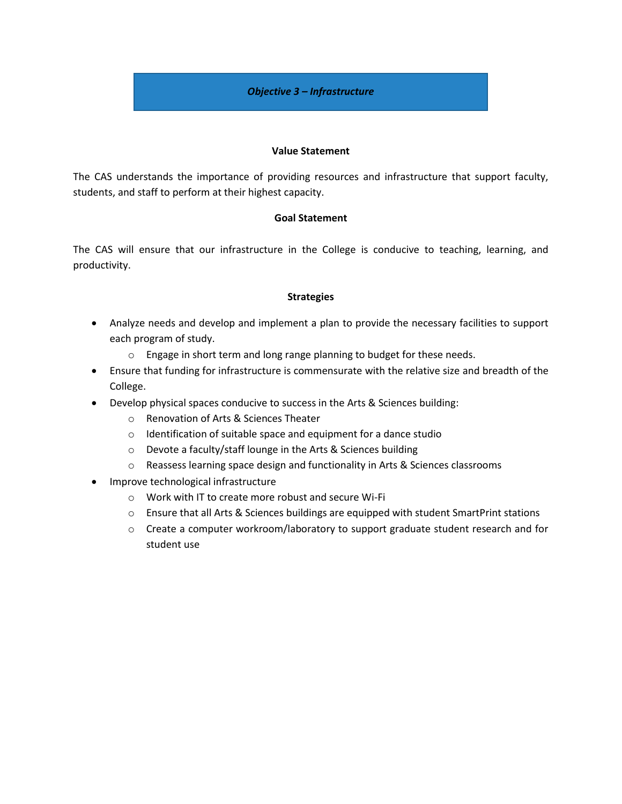## *Objective 3 – Infrastructure*

#### **Value Statement**

The CAS understands the importance of providing resources and infrastructure that support faculty, students, and staff to perform at their highest capacity.

#### **Goal Statement**

The CAS will ensure that our infrastructure in the College is conducive to teaching, learning, and productivity.

- Analyze needs and develop and implement a plan to provide the necessary facilities to support each program of study.
	- o Engage in short term and long range planning to budget for these needs.
- Ensure that funding for infrastructure is commensurate with the relative size and breadth of the College.
- Develop physical spaces conducive to success in the Arts & Sciences building:
	- o Renovation of Arts & Sciences Theater
	- o Identification of suitable space and equipment for a dance studio
	- o Devote a faculty/staff lounge in the Arts & Sciences building
	- o Reassess learning space design and functionality in Arts & Sciences classrooms
- Improve technological infrastructure
	- o Work with IT to create more robust and secure Wi-Fi
	- o Ensure that all Arts & Sciences buildings are equipped with student SmartPrint stations
	- o Create a computer workroom/laboratory to support graduate student research and for student use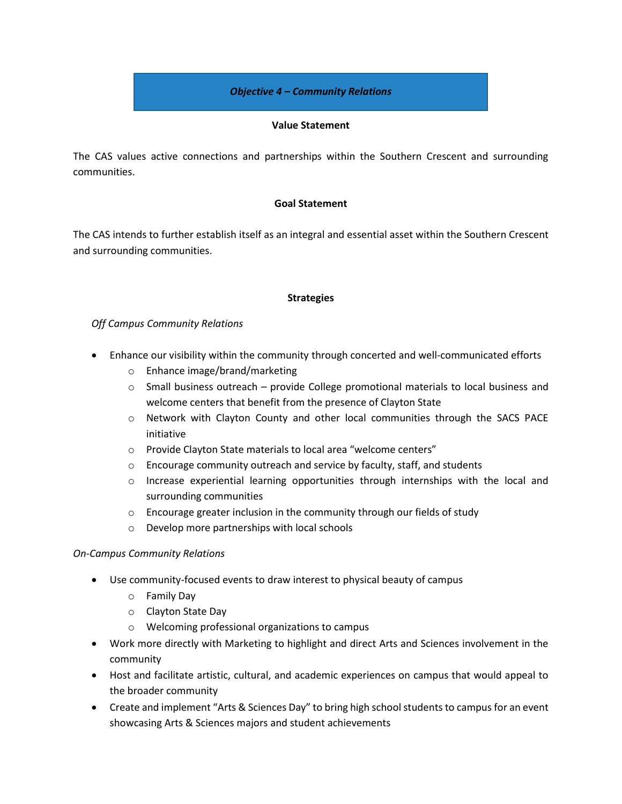#### *Objective 4 – Community Relations*

#### **Value Statement**

The CAS values active connections and partnerships within the Southern Crescent and surrounding communities.

#### **Goal Statement**

The CAS intends to further establish itself as an integral and essential asset within the Southern Crescent and surrounding communities.

#### **Strategies**

# *Off Campus Community Relations*

- Enhance our visibility within the community through concerted and well-communicated efforts
	- o Enhance image/brand/marketing
	- $\circ$  Small business outreach provide College promotional materials to local business and welcome centers that benefit from the presence of Clayton State
	- o Network with Clayton County and other local communities through the SACS PACE initiative
	- o Provide Clayton State materials to local area "welcome centers"
	- $\circ$  Encourage community outreach and service by faculty, staff, and students
	- $\circ$  Increase experiential learning opportunities through internships with the local and surrounding communities
	- o Encourage greater inclusion in the community through our fields of study
	- o Develop more partnerships with local schools

#### *On-Campus Community Relations*

- Use community-focused events to draw interest to physical beauty of campus
	- o Family Day
	- o Clayton State Day
	- o Welcoming professional organizations to campus
- Work more directly with Marketing to highlight and direct Arts and Sciences involvement in the community
- Host and facilitate artistic, cultural, and academic experiences on campus that would appeal to the broader community
- Create and implement "Arts & Sciences Day" to bring high school students to campus for an event showcasing Arts & Sciences majors and student achievements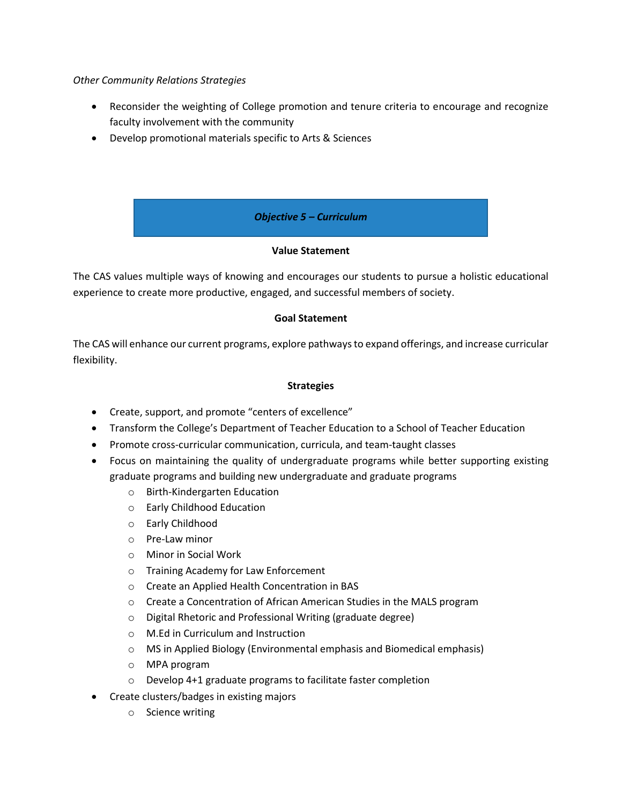#### *Other Community Relations Strategies*

- Reconsider the weighting of College promotion and tenure criteria to encourage and recognize faculty involvement with the community
- Develop promotional materials specific to Arts & Sciences

*Objective 5 – Curriculum*

# **Value Statement**

The CAS values multiple ways of knowing and encourages our students to pursue a holistic educational experience to create more productive, engaged, and successful members of society.

# **Goal Statement**

The CAS will enhance our current programs, explore pathways to expand offerings, and increase curricular flexibility.

- Create, support, and promote "centers of excellence"
- Transform the College's Department of Teacher Education to a School of Teacher Education
- Promote cross-curricular communication, curricula, and team-taught classes
- Focus on maintaining the quality of undergraduate programs while better supporting existing graduate programs and building new undergraduate and graduate programs
	- o Birth-Kindergarten Education
	- o Early Childhood Education
	- o Early Childhood
	- o Pre-Law minor
	- o Minor in Social Work
	- o Training Academy for Law Enforcement
	- o Create an Applied Health Concentration in BAS
	- o Create a Concentration of African American Studies in the MALS program
	- o Digital Rhetoric and Professional Writing (graduate degree)
	- o M.Ed in Curriculum and Instruction
	- o MS in Applied Biology (Environmental emphasis and Biomedical emphasis)
	- o MPA program
	- o Develop 4+1 graduate programs to facilitate faster completion
- Create clusters/badges in existing majors
	- o Science writing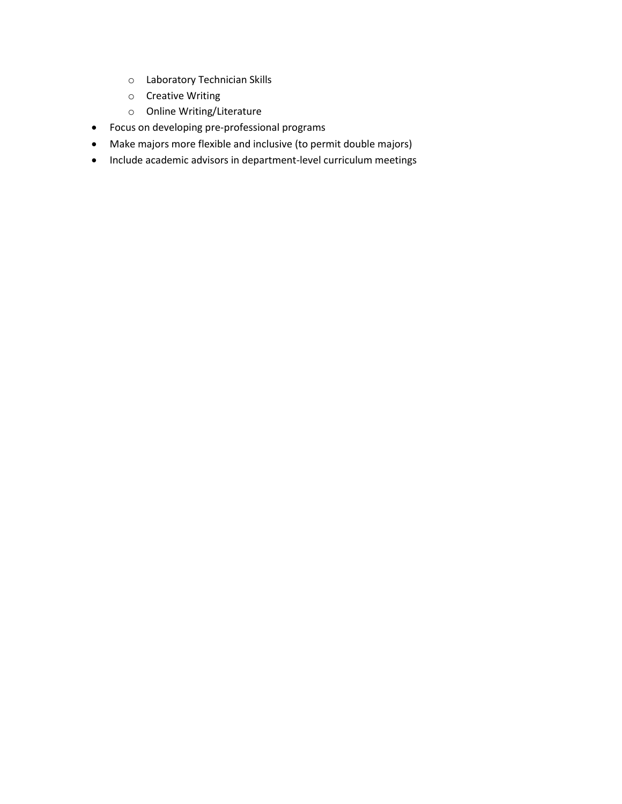- o Laboratory Technician Skills
- o Creative Writing
- o Online Writing/Literature
- Focus on developing pre-professional programs
- Make majors more flexible and inclusive (to permit double majors)
- Include academic advisors in department-level curriculum meetings